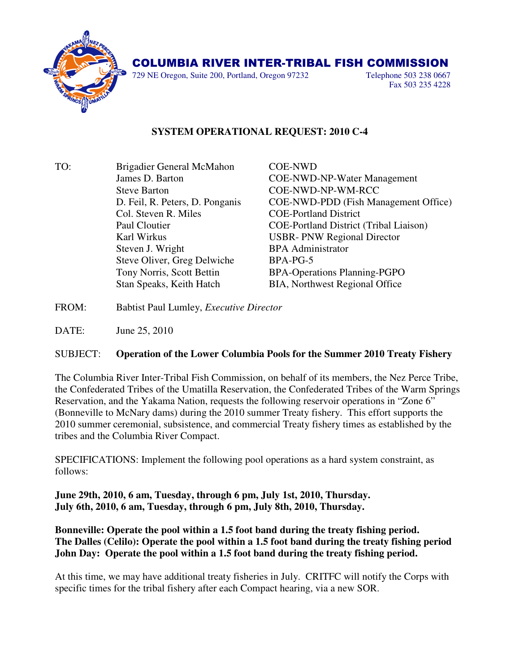

## COLUMBIA RIVER INTER-TRIBAL FISH COMMISSION

729 NE Oregon, Suite 200, Portland, Oregon 97232 Telephone 503 238 0667

Fax 503 235 4228

## **SYSTEM OPERATIONAL REQUEST: 2010 C-4**

TO: Brigadier General McMahon COE-NWD James D. Barton COE-NWD-NP-Water Management Steve Barton COE-NWD-NP-WM-RCC Col. Steven R. Miles COE-Portland District Paul Cloutier COE-Portland District (Tribal Liaison) Karl Wirkus USBR- PNW Regional Director Steven J. Wright BPA Administrator Steve Oliver, Greg Delwiche BPA-PG-5 Tony Norris, Scott Bettin BPA-Operations Planning-PGPO Stan Speaks, Keith Hatch BIA, Northwest Regional Office

D. Feil, R. Peters, D. Ponganis COE-NWD-PDD (Fish Management Office)

FROM: Babtist Paul Lumley, *Executive Director*

DATE: June 25, 2010

## SUBJECT: **Operation of the Lower Columbia Pools for the Summer 2010 Treaty Fishery**

The Columbia River Inter-Tribal Fish Commission, on behalf of its members, the Nez Perce Tribe, the Confederated Tribes of the Umatilla Reservation, the Confederated Tribes of the Warm Springs Reservation, and the Yakama Nation, requests the following reservoir operations in "Zone 6" (Bonneville to McNary dams) during the 2010 summer Treaty fishery. This effort supports the 2010 summer ceremonial, subsistence, and commercial Treaty fishery times as established by the tribes and the Columbia River Compact.

SPECIFICATIONS: Implement the following pool operations as a hard system constraint, as follows:

**June 29th, 2010, 6 am, Tuesday, through 6 pm, July 1st, 2010, Thursday. July 6th, 2010, 6 am, Tuesday, through 6 pm, July 8th, 2010, Thursday.** 

**Bonneville: Operate the pool within a 1.5 foot band during the treaty fishing period. The Dalles (Celilo): Operate the pool within a 1.5 foot band during the treaty fishing period John Day: Operate the pool within a 1.5 foot band during the treaty fishing period.**

At this time, we may have additional treaty fisheries in July. CRITFC will notify the Corps with specific times for the tribal fishery after each Compact hearing, via a new SOR.